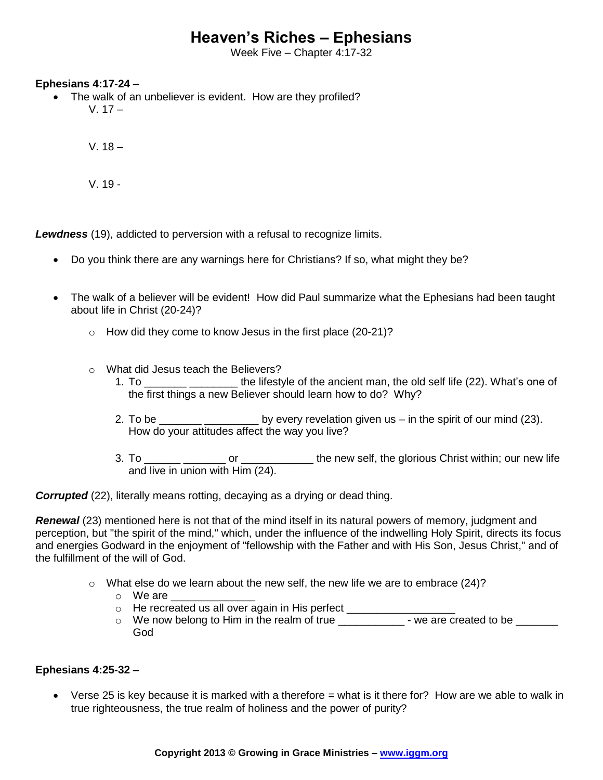# **Heaven's Riches – Ephesians**

Week Five – Chapter 4:17-32

## **Ephesians 4:17-24 –**

 The walk of an unbeliever is evident. How are they profiled?  $V. 17 -$ 

 $V. 18 -$ 

V. 19 -

*Lewdness* (19), addicted to perversion with a refusal to recognize limits.

- Do you think there are any warnings here for Christians? If so, what might they be?
- The walk of a believer will be evident! How did Paul summarize what the Ephesians had been taught about life in Christ (20-24)?
	- $\circ$  How did they come to know Jesus in the first place (20-21)?
	- o What did Jesus teach the Believers?
		- 1. To \_\_\_\_\_\_\_ \_\_\_\_\_\_\_\_\_ the lifestyle of the ancient man, the old self life (22). What's one of the first things a new Believer should learn how to do? Why?
		- 2. To be \_\_\_\_\_\_\_\_\_\_\_\_\_\_\_\_\_\_\_\_\_\_\_\_\_ by every revelation given us in the spirit of our mind (23). How do your attitudes affect the way you live?
		- 3. To \_\_\_\_\_\_\_ \_\_\_\_\_\_\_\_ or \_\_\_\_\_\_\_\_\_\_\_\_\_\_ the new self, the glorious Christ within; our new life and live in union with Him (24).

**Corrupted** (22), literally means rotting, decaying as a drying or dead thing.

*Renewal* (23) mentioned here is not that of the mind itself in its natural powers of memory, judgment and perception, but "the spirit of the mind," which, under the influence of the indwelling Holy Spirit, directs its focus and energies Godward in the enjoyment of "fellowship with the Father and with His Son, Jesus Christ," and of the fulfillment of the will of God.

- $\circ$  What else do we learn about the new self, the new life we are to embrace (24)?
	- $\circ$  We are
	- o He recreated us all over again in His perfect \_\_\_\_\_\_\_\_\_\_\_
	- o We now belong to Him in the realm of true \_\_\_\_\_\_\_\_\_\_\_\_\_\_\_- we are created to be \_\_\_\_\_\_\_ God

# **Ephesians 4:25-32 –**

 $\bullet$  Verse 25 is key because it is marked with a therefore  $=$  what is it there for? How are we able to walk in true righteousness, the true realm of holiness and the power of purity?